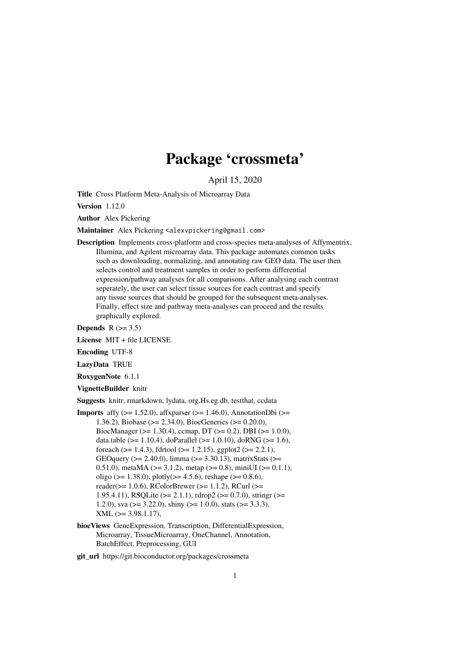# Package 'crossmeta'

April 15, 2020

<span id="page-0-0"></span>Title Cross Platform Meta-Analysis of Microarray Data

Version 1.12.0

Author Alex Pickering

Maintainer Alex Pickering <alexvpickering@gmail.com>

Description Implements cross-platform and cross-species meta-analyses of Affymentrix, Illumina, and Agilent microarray data. This package automates common tasks such as downloading, normalizing, and annotating raw GEO data. The user then selects control and treatment samples in order to perform differential expression/pathway analyses for all comparisons. After analysing each contrast seperately, the user can select tissue sources for each contrast and specify any tissue sources that should be grouped for the subsequent meta-analyses. Finally, effect size and pathway meta-analyses can proceed and the results graphically explored.

Depends  $R$  ( $> = 3.5$ )

License MIT + file LICENSE

Encoding UTF-8

LazyData TRUE

RoxygenNote 6.1.1

VignetteBuilder knitr

Suggests knitr, rmarkdown, lydata, org.Hs.eg.db, testthat, ccdata

- **Imports** affy  $(>= 1.52.0)$ , affxparser  $(>= 1.46.0)$ , AnnotationDbi  $(>= 1.46.0)$ 1.36.2), Biobase (>= 2.34.0), BiocGenerics (>= 0.20.0), BiocManager ( $>= 1.30.4$ ), ccmap, DT ( $>= 0.2$ ), DBI ( $>= 1.0.0$ ), data.table ( $>= 1.10.4$ ), doParallel ( $>= 1.0.10$ ), doRNG ( $>= 1.6$ ), foreach ( $>= 1.4.3$ ), fdrtool ( $>= 1.2.15$ ), ggplot2 ( $>= 2.2.1$ ), GEOquery ( $>= 2.40.0$ ), limma ( $>= 3.30.13$ ), matrixStats ( $>=$ 0.51.0), metaMA ( $>= 3.1.2$ ), metap ( $>= 0.8$ ), miniUI ( $>= 0.1.1$ ), oligo (>= 1.38.0), plotly(>= 4.5.6), reshape (>= 0.8.6), reader(>= 1.0.6), RColorBrewer (>= 1.1.2), RCurl (>= 1.95.4.11), RSQLite ( $>= 2.1.1$ ), rdrop2 ( $>= 0.7.0$ ), stringr ( $>=$ 1.2.0), sva ( $> = 3.22$ .0), shiny ( $> = 1.0$ .0), stats ( $> = 3.3.3$ ),  $XML (= 3.98.1.17),$
- biocViews GeneExpression, Transcription, DifferentialExpression, Microarray, TissueMicroarray, OneChannel, Annotation, BatchEffect, Preprocessing, GUI

git\_url https://git.bioconductor.org/packages/crossmeta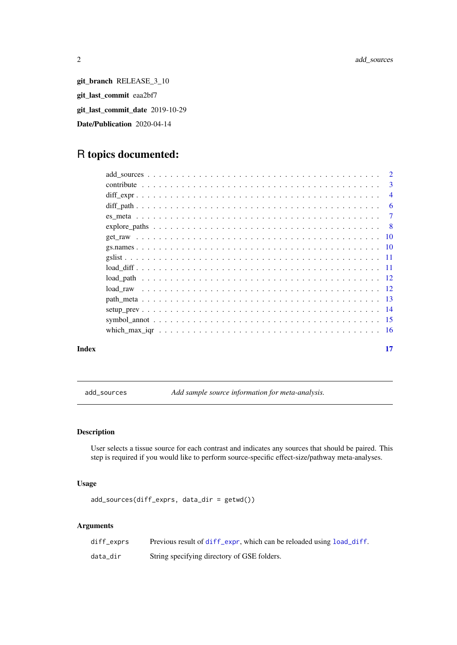git\_branch RELEASE\_3\_10 git\_last\_commit eaa2bf7 git\_last\_commit\_date 2019-10-29 Date/Publication 2020-04-14

## R topics documented:

|       | $\overline{3}$ |
|-------|----------------|
|       | $\overline{4}$ |
|       |                |
|       |                |
|       |                |
|       |                |
|       |                |
|       |                |
|       |                |
|       |                |
|       |                |
|       |                |
|       |                |
|       |                |
|       |                |
| Index | 17             |

<span id="page-1-1"></span>add\_sources *Add sample source information for meta-analysis.*

#### Description

User selects a tissue source for each contrast and indicates any sources that should be paired. This step is required if you would like to perform source-specific effect-size/pathway meta-analyses.

#### Usage

add\_sources(diff\_exprs, data\_dir = getwd())

#### Arguments

| diff_exprs | Previous result of diff_expr, which can be reloaded using load_diff. |
|------------|----------------------------------------------------------------------|
| data_dir   | String specifying directory of GSE folders.                          |

<span id="page-1-0"></span>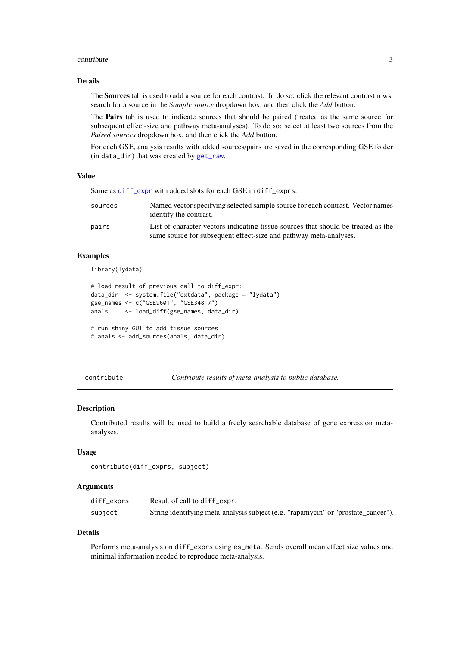#### <span id="page-2-0"></span>contribute 3

#### Details

The Sources tab is used to add a source for each contrast. To do so: click the relevant contrast rows, search for a source in the *Sample source* dropdown box, and then click the *Add* button.

The Pairs tab is used to indicate sources that should be paired (treated as the same source for subsequent effect-size and pathway meta-analyses). To do so: select at least two sources from the *Paired sources* dropdown box, and then click the *Add* button.

For each GSE, analysis results with added sources/pairs are saved in the corresponding GSE folder (in data\_dir) that was created by [get\\_raw](#page-9-1).

#### Value

Same as [diff\\_expr](#page-3-1) with added slots for each GSE in diff\_exprs:

| sources | Named vector specifying selected sample source for each contrast. Vector names    |
|---------|-----------------------------------------------------------------------------------|
|         | identify the contrast.                                                            |
| pairs   | List of character vectors indicating tissue sources that should be treated as the |
|         | same source for subsequent effect-size and pathway meta-analyses.                 |

#### Examples

library(lydata)

```
# load result of previous call to diff_expr:
data_dir <- system.file("extdata", package = "lydata")
gse_names <- c("GSE9601", "GSE34817")
anals <- load_diff(gse_names, data_dir)
# run shiny GUI to add tissue sources
# anals <- add_sources(anals, data_dir)
```
contribute *Contribute results of meta-analysis to public database.*

#### Description

Contributed results will be used to build a freely searchable database of gene expression metaanalyses.

#### Usage

```
contribute(diff_exprs, subject)
```
#### Arguments

| diff_exprs | Result of call to diff expr.                                                      |
|------------|-----------------------------------------------------------------------------------|
| subject    | String identifying meta-analysis subject (e.g. "rapamycin" or "prostate_cancer"). |

#### Details

Performs meta-analysis on diff\_exprs using es\_meta. Sends overall mean effect size values and minimal information needed to reproduce meta-analysis.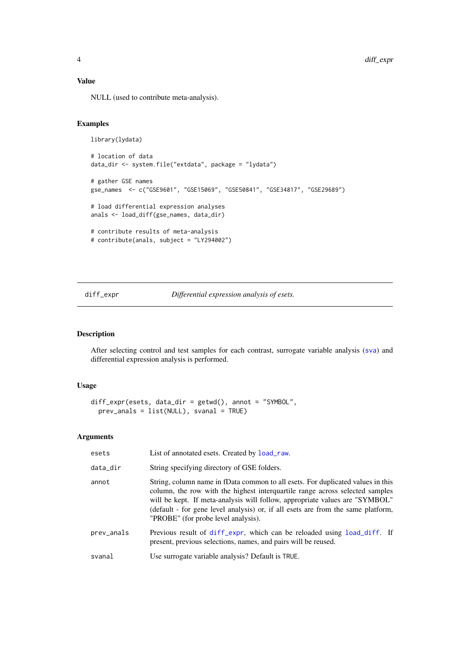#### Value

NULL (used to contribute meta-analysis).

#### Examples

```
library(lydata)
# location of data
data_dir <- system.file("extdata", package = "lydata")
# gather GSE names
gse_names <- c("GSE9601", "GSE15069", "GSE50841", "GSE34817", "GSE29689")
# load differential expression analyses
anals <- load_diff(gse_names, data_dir)
# contribute results of meta-analysis
# contribute(anals, subject = "LY294002")
```
<span id="page-3-1"></span>diff\_expr *Differential expression analysis of esets.*

#### Description

After selecting control and test samples for each contrast, surrogate variable analysis ([sva](#page-0-0)) and differential expression analysis is performed.

#### Usage

```
diff_expr(esets, data_dir = getwd(), annot = "SYMBOL",
 prev_anals = list(NULL), svanal = TRUE)
```
#### Arguments

| esets      | List of annotated esets. Created by <b>load_raw</b> .                                                                                                                                                                                                                                                                                                                     |
|------------|---------------------------------------------------------------------------------------------------------------------------------------------------------------------------------------------------------------------------------------------------------------------------------------------------------------------------------------------------------------------------|
| data_dir   | String specifying directory of GSE folders.                                                                                                                                                                                                                                                                                                                               |
| annot      | String, column name in fData common to all esets. For duplicated values in this<br>column, the row with the highest interquartile range across selected samples<br>will be kept. If meta-analysis will follow, appropriate values are "SYMBOL"<br>(default - for gene level analysis) or, if all esets are from the same platform,<br>"PROBE" (for probe level analysis). |
| prev_anals | Previous result of diff_expr, which can be reloaded using load_diff. If<br>present, previous selections, names, and pairs will be reused.                                                                                                                                                                                                                                 |
| svanal     | Use surrogate variable analysis? Default is TRUE.                                                                                                                                                                                                                                                                                                                         |
|            |                                                                                                                                                                                                                                                                                                                                                                           |

<span id="page-3-0"></span>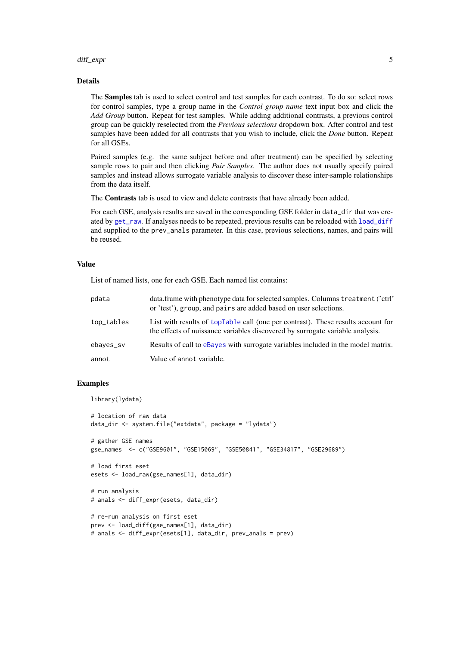#### <span id="page-4-0"></span>diff\_expr 5

#### Details

The Samples tab is used to select control and test samples for each contrast. To do so: select rows for control samples, type a group name in the *Control group name* text input box and click the *Add Group* button. Repeat for test samples. While adding additional contrasts, a previous control group can be quickly reselected from the *Previous selections* dropdown box. After control and test samples have been added for all contrasts that you wish to include, click the *Done* button. Repeat for all GSEs.

Paired samples (e.g. the same subject before and after treatment) can be specified by selecting sample rows to pair and then clicking *Pair Samples*. The author does not usually specify paired samples and instead allows surrogate variable analysis to discover these inter-sample relationships from the data itself.

The Contrasts tab is used to view and delete contrasts that have already been added.

For each GSE, analysis results are saved in the corresponding GSE folder in data\_dir that was created by [get\\_raw](#page-9-1). If analyses needs to be repeated, previous results can be reloaded with [load\\_diff](#page-10-1) and supplied to the prev\_anals parameter. In this case, previous selections, names, and pairs will be reused.

#### Value

List of named lists, one for each GSE. Each named list contains:

| pdata      | data.frame with phenotype data for selected samples. Columns treatment ('ctrl'<br>or 'test'), group, and pairs are added based on user selections.                |
|------------|-------------------------------------------------------------------------------------------------------------------------------------------------------------------|
| top_tables | List with results of topTable call (one per contrast). These results account for<br>the effects of nuissance variables discovered by surrogate variable analysis. |
| ebayes_sv  | Results of call to eBayes with surrogate variables included in the model matrix.                                                                                  |
| annot      | Value of annot variable.                                                                                                                                          |

#### Examples

library(lydata)

```
# location of raw data
data_dir <- system.file("extdata", package = "lydata")
# gather GSE names
gse_names <- c("GSE9601", "GSE15069", "GSE50841", "GSE34817", "GSE29689")
# load first eset
esets <- load_raw(gse_names[1], data_dir)
# run analysis
# anals <- diff_expr(esets, data_dir)
# re-run analysis on first eset
```

```
prev <- load_diff(gse_names[1], data_dir)
# anals <- diff_expr(esets[1], data_dir, prev_anals = prev)
```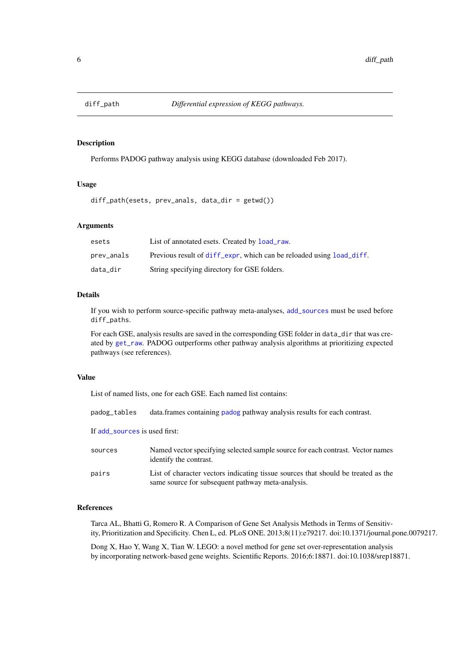<span id="page-5-1"></span><span id="page-5-0"></span>

Performs PADOG pathway analysis using KEGG database (downloaded Feb 2017).

#### Usage

diff\_path(esets, prev\_anals, data\_dir = getwd())

#### Arguments

| esets      | List of annotated esets. Created by <b>load_raw</b> .                |
|------------|----------------------------------------------------------------------|
| prev_anals | Previous result of diff expr, which can be reloaded using load diff. |
| data dir   | String specifying directory for GSE folders.                         |

#### Details

If you wish to perform source-specific pathway meta-analyses, [add\\_sources](#page-1-1) must be used before diff\_paths.

For each GSE, analysis results are saved in the corresponding GSE folder in data\_dir that was created by [get\\_raw](#page-9-1). PADOG outperforms other pathway analysis algorithms at prioritizing expected pathways (see references).

#### Value

List of named lists, one for each GSE. Each named list contains:

padog\_tables data.frames containing [padog](#page-0-0) pathway analysis results for each contrast.

If [add\\_sources](#page-1-1) is used first:

| sources | Named vector specifying selected sample source for each contrast. Vector names<br>identify the contrast.                               |
|---------|----------------------------------------------------------------------------------------------------------------------------------------|
| pairs   | List of character vectors indicating tissue sources that should be treated as the<br>same source for subsequent pathway meta-analysis. |

#### References

Tarca AL, Bhatti G, Romero R. A Comparison of Gene Set Analysis Methods in Terms of Sensitivity, Prioritization and Specificity. Chen L, ed. PLoS ONE. 2013;8(11):e79217. doi:10.1371/journal.pone.0079217.

Dong X, Hao Y, Wang X, Tian W. LEGO: a novel method for gene set over-representation analysis by incorporating network-based gene weights. Scientific Reports. 2016;6:18871. doi:10.1038/srep18871.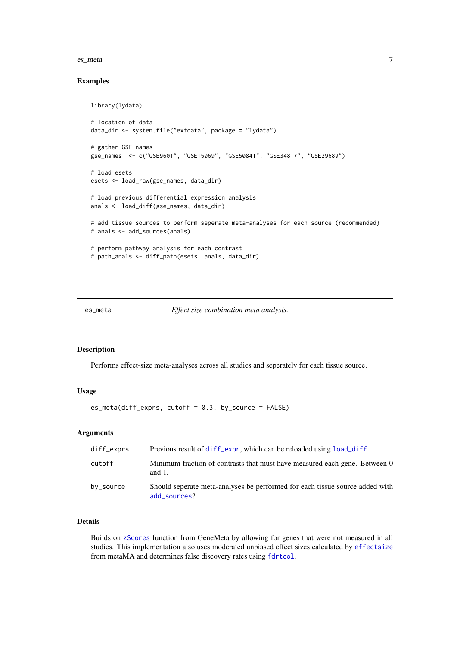#### <span id="page-6-0"></span>es\_meta 7

#### Examples

```
library(lydata)
# location of data
data_dir <- system.file("extdata", package = "lydata")
# gather GSE names
gse_names <- c("GSE9601", "GSE15069", "GSE50841", "GSE34817", "GSE29689")
# load esets
esets <- load_raw(gse_names, data_dir)
# load previous differential expression analysis
anals <- load_diff(gse_names, data_dir)
# add tissue sources to perform seperate meta-analyses for each source (recommended)
# anals <- add_sources(anals)
# perform pathway analysis for each contrast
# path_anals <- diff_path(esets, anals, data_dir)
```
<span id="page-6-1"></span>es\_meta *Effect size combination meta analysis.*

#### Description

Performs effect-size meta-analyses across all studies and seperately for each tissue source.

#### Usage

es\_meta(diff\_exprs, cutoff =  $0.3$ , by\_source =  $FALSE$ )

#### Arguments

| diff_exprs | Previous result of diff_expr, which can be reloaded using load_diff.                         |  |
|------------|----------------------------------------------------------------------------------------------|--|
| cutoff     | Minimum fraction of contrasts that must have measured each gene. Between 0<br>and $1$ .      |  |
| by_source  | Should seperate meta-analyses be performed for each tissue source added with<br>add_sources? |  |

#### Details

Builds on [zScores](#page-0-0) function from GeneMeta by allowing for genes that were not measured in all studies. This implementation also uses moderated unbiased effect sizes calculated by [effectsize](#page-0-0) from metaMA and determines false discovery rates using [fdrtool](#page-0-0).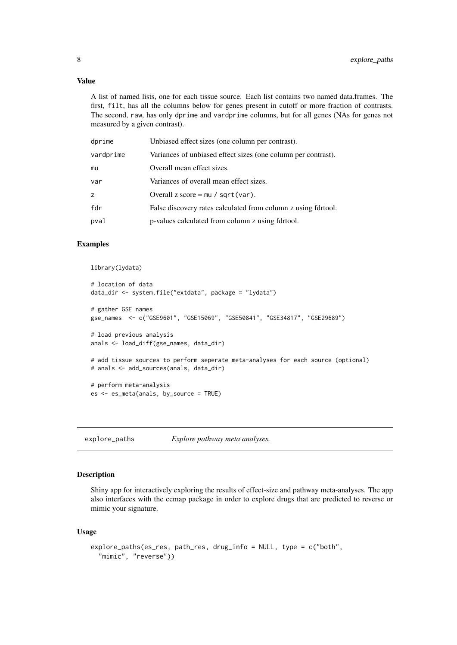#### Value

A list of named lists, one for each tissue source. Each list contains two named data.frames. The first, filt, has all the columns below for genes present in cutoff or more fraction of contrasts. The second, raw, has only dprime and vardprime columns, but for all genes (NAs for genes not measured by a given contrast).

| dprime    | Unbiased effect sizes (one column per contrast).              |
|-----------|---------------------------------------------------------------|
| vardprime | Variances of unbiased effect sizes (one column per contrast). |
| mu        | Overall mean effect sizes.                                    |
| var       | Variances of overall mean effect sizes.                       |
| z         | Overall z score $=$ mu / sqrt(var).                           |
| fdr       | False discovery rates calculated from column z using fdrtool. |
| pval      | p-values calculated from column z using fdrtool.              |

#### Examples

#### library(lydata)

```
# location of data
data_dir <- system.file("extdata", package = "lydata")
# gather GSE names
gse_names <- c("GSE9601", "GSE15069", "GSE50841", "GSE34817", "GSE29689")
# load previous analysis
anals <- load_diff(gse_names, data_dir)
# add tissue sources to perform seperate meta-analyses for each source (optional)
# anals <- add_sources(anals, data_dir)
# perform meta-analysis
es <- es_meta(anals, by_source = TRUE)
```
explore\_paths *Explore pathway meta analyses.*

#### Description

Shiny app for interactively exploring the results of effect-size and pathway meta-analyses. The app also interfaces with the ccmap package in order to explore drugs that are predicted to reverse or mimic your signature.

#### Usage

```
explore_paths(es_res, path_res, drug_info = NULL, type = c("both",
  "mimic", "reverse"))
```
<span id="page-7-0"></span>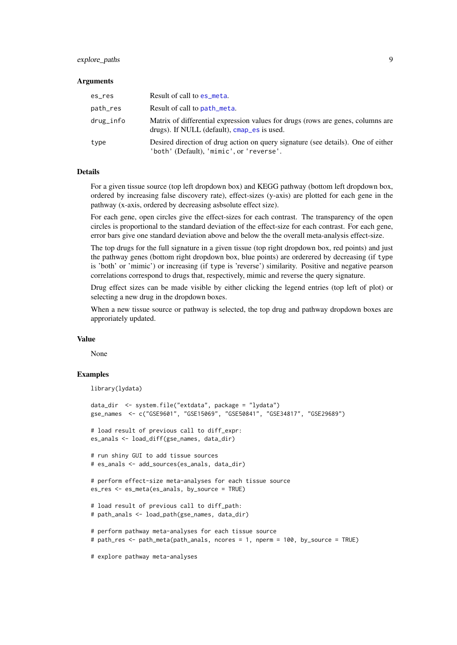#### <span id="page-8-0"></span>explore\_paths 9

#### Arguments

| es_res    | Result of call to es_meta.                                                                                                     |
|-----------|--------------------------------------------------------------------------------------------------------------------------------|
| path_res  | Result of call to path_meta.                                                                                                   |
| drug_info | Matrix of differential expression values for drugs (rows are genes, columns are<br>drugs). If NULL (default), cmap_es is used. |
| type      | Desired direction of drug action on query signature (see details). One of either<br>'both' (Default), 'mimic', or 'reverse'.   |

#### Details

For a given tissue source (top left dropdown box) and KEGG pathway (bottom left dropdown box, ordered by increasing false discovery rate), effect-sizes (y-axis) are plotted for each gene in the pathway (x-axis, ordered by decreasing asbsolute effect size).

For each gene, open circles give the effect-sizes for each contrast. The transparency of the open circles is proportional to the standard deviation of the effect-size for each contrast. For each gene, error bars give one standard deviation above and below the the overall meta-analysis effect-size.

The top drugs for the full signature in a given tissue (top right dropdown box, red points) and just the pathway genes (bottom right dropdown box, blue points) are orderered by decreasing (if type is 'both' or 'mimic') or increasing (if type is 'reverse') similarity. Positive and negative pearson correlations correspond to drugs that, respectively, mimic and reverse the query signature.

Drug effect sizes can be made visible by either clicking the legend entries (top left of plot) or selecting a new drug in the dropdown boxes.

When a new tissue source or pathway is selected, the top drug and pathway dropdown boxes are approriately updated.

#### Value

None

library(lydata)

#### Examples

```
data_dir <- system.file("extdata", package = "lydata")
gse_names <- c("GSE9601", "GSE15069", "GSE50841", "GSE34817", "GSE29689")
# load result of previous call to diff expr:
es_anals <- load_diff(gse_names, data_dir)
# run shiny GUI to add tissue sources
# es_anals <- add_sources(es_anals, data_dir)
# perform effect-size meta-analyses for each tissue source
es_res <- es_meta(es_anals, by_source = TRUE)
# load result of previous call to diff_path:
# path_anals <- load_path(gse_names, data_dir)
# perform pathway meta-analyses for each tissue source
# path_res <- path_meta(path_anals, ncores = 1, nperm = 100, by_source = TRUE)
# explore pathway meta-analyses
```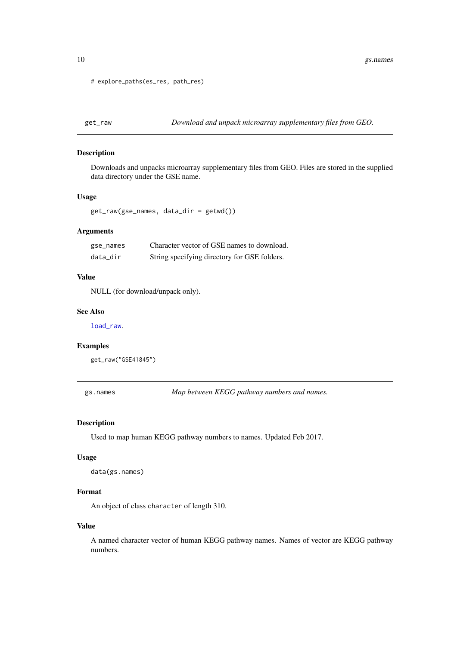```
# explore_paths(es_res, path_res)
```
<span id="page-9-1"></span>

Downloads and unpacks microarray supplementary files from GEO. Files are stored in the supplied data directory under the GSE name.

#### Usage

get\_raw(gse\_names, data\_dir = getwd())

#### Arguments

| gse_names | Character vector of GSE names to download.   |
|-----------|----------------------------------------------|
| data dir  | String specifying directory for GSE folders. |

#### Value

NULL (for download/unpack only).

#### See Also

[load\\_raw](#page-11-1).

#### Examples

```
get_raw("GSE41845")
```
gs.names *Map between KEGG pathway numbers and names.*

#### Description

Used to map human KEGG pathway numbers to names. Updated Feb 2017.

#### Usage

```
data(gs.names)
```
#### Format

An object of class character of length 310.

#### Value

A named character vector of human KEGG pathway names. Names of vector are KEGG pathway numbers.

<span id="page-9-0"></span>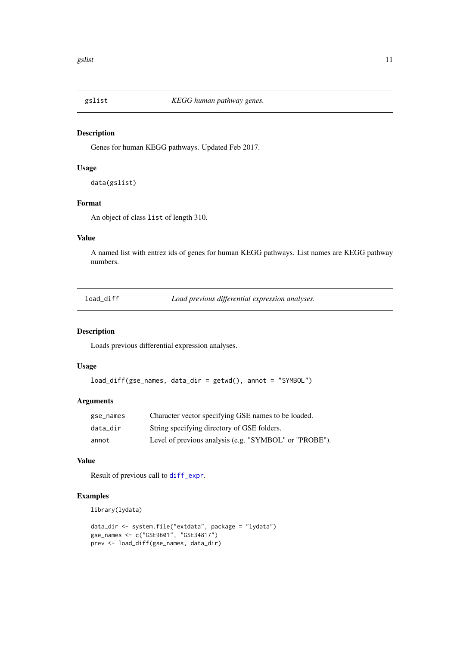<span id="page-10-0"></span>

Genes for human KEGG pathways. Updated Feb 2017.

#### Usage

data(gslist)

#### Format

An object of class list of length 310.

#### Value

A named list with entrez ids of genes for human KEGG pathways. List names are KEGG pathway numbers.

<span id="page-10-1"></span>load\_diff *Load previous differential expression analyses.*

#### Description

Loads previous differential expression analyses.

### Usage

```
load_diff(gse_names, data_dir = getwd(), annot = "SYMBOL")
```
#### Arguments

| gse_names | Character vector specifying GSE names to be loaded.    |
|-----------|--------------------------------------------------------|
| data dir  | String specifying directory of GSE folders.            |
| annot     | Level of previous analysis (e.g. "SYMBOL" or "PROBE"). |

#### Value

Result of previous call to [diff\\_expr](#page-3-1).

#### Examples

library(lydata)

```
data_dir <- system.file("extdata", package = "lydata")
gse_names <- c("GSE9601", "GSE34817")
prev <- load_diff(gse_names, data_dir)
```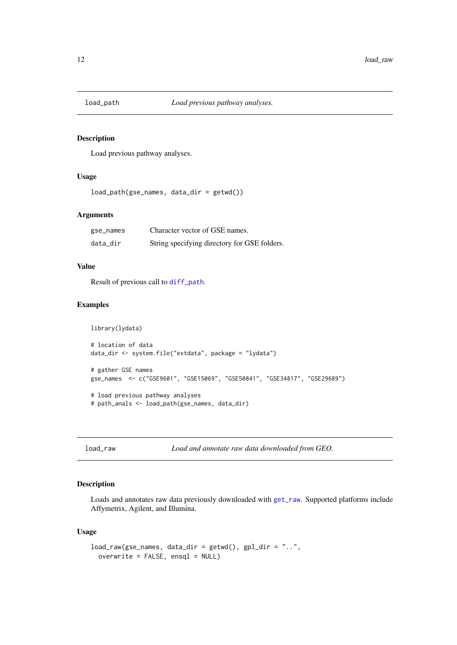<span id="page-11-2"></span><span id="page-11-0"></span>

Load previous pathway analyses.

#### Usage

```
load_path(gse_names, data_dir = getwd())
```
#### Arguments

| gse_names | Character vector of GSE names.               |
|-----------|----------------------------------------------|
| data dir  | String specifying directory for GSE folders. |

#### Value

Result of previous call to [diff\\_path](#page-5-1).

#### Examples

```
library(lydata)
# location of data
data_dir <- system.file("extdata", package = "lydata")
# gather GSE names
gse_names <- c("GSE9601", "GSE15069", "GSE50841", "GSE34817", "GSE29689")
# load previous pathway analyses
# path_anals <- load_path(gse_names, data_dir)
```
<span id="page-11-1"></span>load\_raw *Load and annotate raw data downloaded from GEO.*

#### Description

Loads and annotates raw data previously downloaded with [get\\_raw](#page-9-1). Supported platforms include Affymetrix, Agilent, and Illumina.

#### Usage

```
load_raw(gse_names, data_dir = getwd(), gpl_dir = "..",
 overwrite = FALSE, ensql = NULL)
```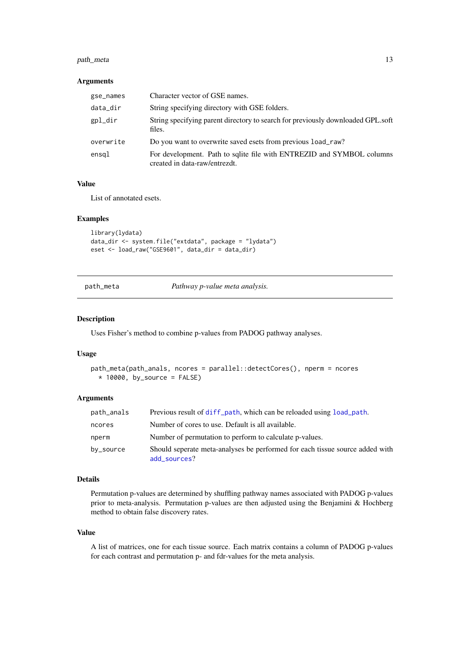#### <span id="page-12-0"></span>path\_meta 13

#### Arguments

| gse_names | Character vector of GSE names.                                                                         |
|-----------|--------------------------------------------------------------------------------------------------------|
| data_dir  | String specifying directory with GSE folders.                                                          |
| gpl_dir   | String specifying parent directory to search for previously downloaded GPL.soft<br>files.              |
| overwrite | Do you want to overwrite saved esets from previous load_raw?                                           |
| ensgl     | For development. Path to sqlite file with ENTREZID and SYMBOL columns<br>created in data-raw/entrezdt. |

#### Value

List of annotated esets.

#### Examples

```
library(lydata)
data_dir <- system.file("extdata", package = "lydata")
eset <- load_raw("GSE9601", data_dir = data_dir)
```
<span id="page-12-1"></span>path\_meta *Pathway p-value meta analysis.*

#### Description

Uses Fisher's method to combine p-values from PADOG pathway analyses.

#### Usage

```
path_meta(path_anals, ncores = parallel::detectCores(), nperm = ncores
 * 10000, by_source = FALSE)
```
#### Arguments

| path_anals | Previous result of diff_path, which can be reloaded using load_path.                         |  |
|------------|----------------------------------------------------------------------------------------------|--|
| ncores     | Number of cores to use. Default is all available.                                            |  |
| nperm      | Number of permutation to perform to calculate p-values.                                      |  |
| by_source  | Should seperate meta-analyses be performed for each tissue source added with<br>add_sources? |  |

#### Details

Permutation p-values are determined by shuffling pathway names associated with PADOG p-values prior to meta-analysis. Permutation p-values are then adjusted using the Benjamini & Hochberg method to obtain false discovery rates.

#### Value

A list of matrices, one for each tissue source. Each matrix contains a column of PADOG p-values for each contrast and permutation p- and fdr-values for the meta analysis.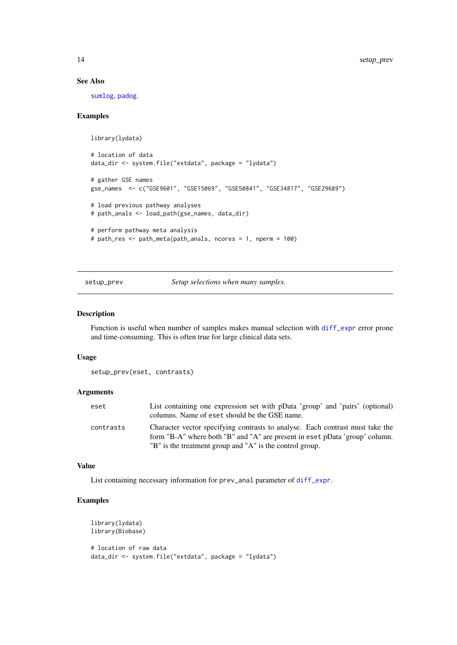#### See Also

[sumlog](#page-0-0), [padog](#page-0-0).

#### Examples

```
library(lydata)
# location of data
data_dir <- system.file("extdata", package = "lydata")
# gather GSE names
gse_names <- c("GSE9601", "GSE15069", "GSE50841", "GSE34817", "GSE29689")
# load previous pathway analyses
# path_anals <- load_path(gse_names, data_dir)
# perform pathway meta analysis
# path_res <- path_meta(path_anals, ncores = 1, nperm = 100)
```
setup\_prev *Setup selections when many samples.*

#### Description

Function is useful when number of samples makes manual selection with [diff\\_expr](#page-3-1) error prone and time-consuming. This is often true for large clinical data sets.

#### Usage

```
setup_prev(eset, contrasts)
```
#### Arguments

| eset      | List containing one expression set with pData 'group' and 'pairs' (optional)<br>columns. Name of eset should be the GSE name.                                |
|-----------|--------------------------------------------------------------------------------------------------------------------------------------------------------------|
| contrasts | Character vector specifying contrasts to analyse. Each contrast must take the<br>form "B-A" where both "B" and "A" are present in eset pData 'group' column. |
|           | "B" is the treatment group and "A" is the control group.                                                                                                     |

#### Value

List containing necessary information for prev\_anal parameter of [diff\\_expr](#page-3-1).

#### Examples

```
library(lydata)
library(Biobase)
# location of raw data
data_dir <- system.file("extdata", package = "lydata")
```
<span id="page-13-0"></span>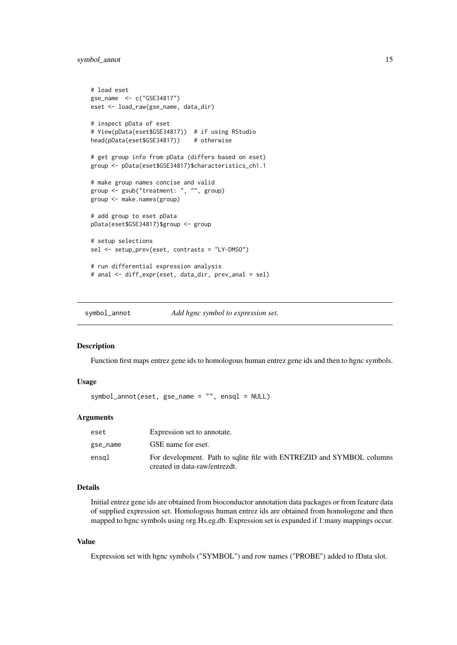#### <span id="page-14-0"></span>symbol\_annot 15

```
# load eset
gse_name <- c("GSE34817")
eset <- load_raw(gse_name, data_dir)
# inspect pData of eset
# View(pData(eset$GSE34817)) # if using RStudio
head(pData(eset$GSE34817)) # otherwise
# get group info from pData (differs based on eset)
group <- pData(eset$GSE34817)$characteristics_ch1.1
# make group names concise and valid
group <- gsub("treatment: ", "", group)
group <- make.names(group)
# add group to eset pData
pData(eset$GSE34817)$group <- group
# setup selections
sel <- setup_prev(eset, contrasts = "LY-DMSO")
# run differential expression analysis
# anal <- diff_expr(eset, data_dir, prev_anal = sel)
```
symbol\_annot *Add hgnc symbol to expression set.*

#### Description

Function first maps entrez gene ids to homologous human entrez gene ids and then to hgnc symbols.

#### Usage

```
symbol_annot(eset, gse_name = "", ensql = NULL)
```
#### Arguments

| eset     | Expression set to annotate.                                                                            |
|----------|--------------------------------------------------------------------------------------------------------|
| gse_name | GSE name for eset.                                                                                     |
| ensal    | For development. Path to sqlite file with ENTREZID and SYMBOL columns<br>created in data-raw/entrezdt. |

#### Details

Initial entrez gene ids are obtained from bioconductor annotation data packages or from feature data of supplied expression set. Homologous human entrez ids are obtained from homologene and then mapped to hgnc symbols using org.Hs.eg.db. Expression set is expanded if 1:many mappings occur.

#### Value

Expression set with hgnc symbols ("SYMBOL") and row names ("PROBE") added to fData slot.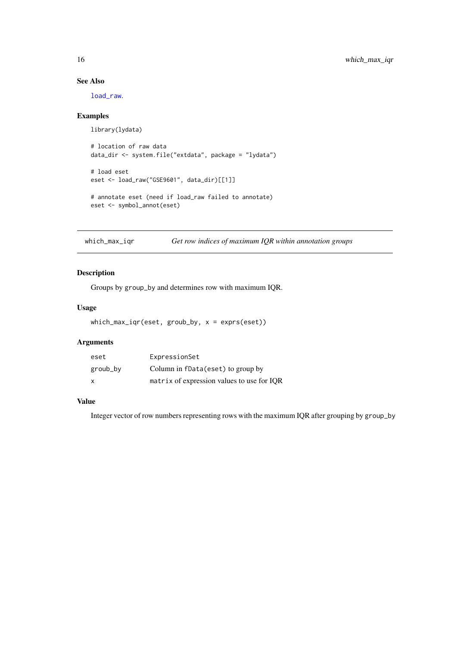#### See Also

[load\\_raw](#page-11-1).

#### Examples

```
library(lydata)
```

```
# location of raw data
data_dir <- system.file("extdata", package = "lydata")
# load eset
eset <- load_raw("GSE9601", data_dir)[[1]]
# annotate eset (need if load_raw failed to annotate)
eset <- symbol_annot(eset)
```
which\_max\_iqr *Get row indices of maximum IQR within annotation groups*

#### Description

Groups by group\_by and determines row with maximum IQR.

#### Usage

```
which_max_iqr(eset, groub_by, x = exprs(eset))
```
#### Arguments

| eset                      | ExpressionSet                              |
|---------------------------|--------------------------------------------|
| groub_by                  | Column in fData(eset) to group by          |
| $\boldsymbol{\mathsf{x}}$ | matrix of expression values to use for IQR |

#### Value

Integer vector of row numbers representing rows with the maximum IQR after grouping by group\_by

<span id="page-15-0"></span>